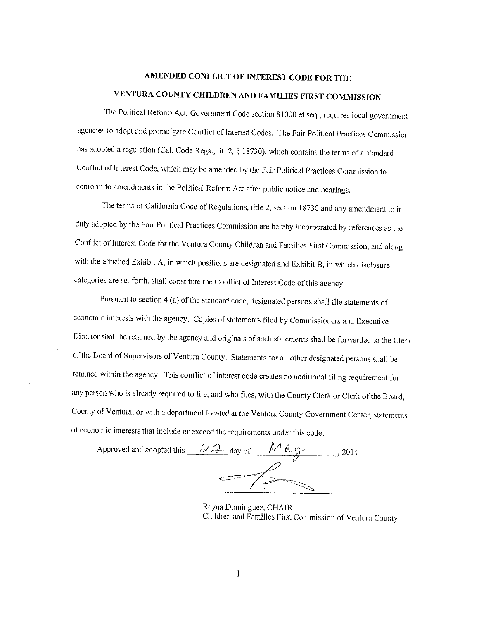# AMENDED CONFLICT OF INTEREST CODE FOR THE

# VENTURA COUNTY CHILDREN AND FAMILIES FIRST COMMISSION

The Political Reform Act, Government Code section 81000 et seq., requires local government agencies to adopt and promulgate Conflict of Interest Codes. The Fair Political Practices Commission has adopted a regulation (Cal. Code Regs., tit. 2, § 18730), which contains the terms of a standard Conflict of Interest Code, which may be amended by the Fair Political Practices Commission to conform to amendments in the Political Reform Act after public notice and hearings.

The terms of California Code of Regulations, title 2, section 18730 and any amendment to it duly adopted by the Fair Political Practices Commission are hereby incorporated by references as the Conflict of Interest Code for the Ventura County Children and Families First Commission, and along with the attached Exhibit A, in which positions are designated and Exhibit B, in which disclosure categories are set forth, shall constitute the Conflict of Interest Code of this agency.

Pursuant to section 4 (a) of the standard code, designated persons shall file statements of economic interests with the agency. Copies of statements filed by Commissioners and Executive Director shall be retained by the agency and originals of such statements shall be forwarded to the Clerk of the Board of Supervisors of Ventura County. Statements for all other designated persons shall be retained within the agency. This conflict of interest code creates no additional filing requirement for any person who is already required to file, and who files, with the County Clerk or Clerk of the Board, County of Ventura, or with a department located at the Ventura County Government Center, statements of economic interests that include or exceed the requirements under this code.

Approved and adopted this  $\frac{\partial \mathcal{L}}{\partial x}$  day of  $\frac{M \alpha y}{\alpha}$  $\frac{1}{2014}$ 

Reyna Dominguez, CHAIR Children and Families First Commission of Ventura County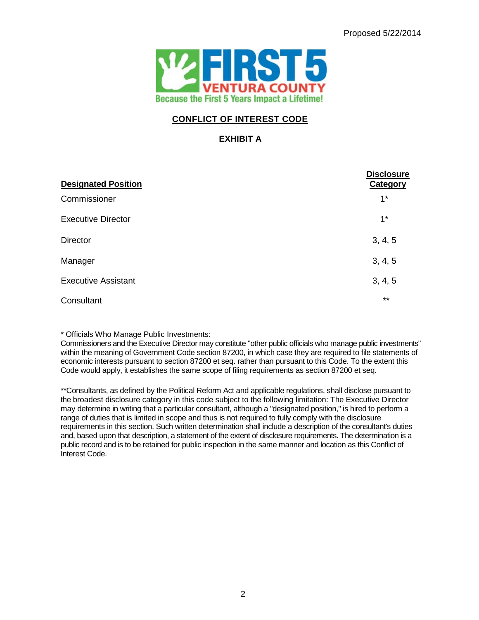

# **CONFLICT OF INTEREST CODE**

## **EXHIBIT A**

| <b>Designated Position</b> | <b>Disclosure</b><br>Category |
|----------------------------|-------------------------------|
| Commissioner               | $1^*$                         |
| <b>Executive Director</b>  | $1^*$                         |
| <b>Director</b>            | 3, 4, 5                       |
| Manager                    | 3, 4, 5                       |
| <b>Executive Assistant</b> | 3, 4, 5                       |
| Consultant                 | $***$                         |

\* Officials Who Manage Public Investments:

Commissioners and the Executive Director may constitute "other public officials who manage public investments" within the meaning of Government Code section 87200, in which case they are required to file statements of economic interests pursuant to section 87200 et seq. rather than pursuant to this Code. To the extent this Code would apply, it establishes the same scope of filing requirements as section 87200 et seq.

\*\*Consultants, as defined by the Political Reform Act and applicable regulations, shall disclose pursuant to the broadest disclosure category in this code subject to the following limitation: The Executive Director may determine in writing that a particular consultant, although a "designated position," is hired to perform a range of duties that is limited in scope and thus is not required to fully comply with the disclosure requirements in this section. Such written determination shall include a description of the consultant's duties and, based upon that description, a statement of the extent of disclosure requirements. The determination is a public record and is to be retained for public inspection in the same manner and location as this Conflict of Interest Code.